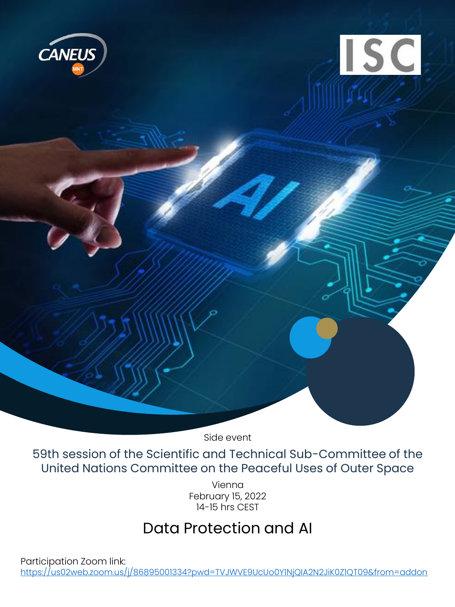

Side event

59th session of the Scientific and Technical Sub-Committee of the United Nations Committee on the Peaceful Uses of Outer Space

> Vienna February 15, 2022 14-15 hrs CEST

## Data Protection and AI

Participation Zoom link: <https://us02web.zoom.us/j/86895001334?pwd=TVJWVE9UcUo0Y1NjQlA2N2JiK0Z1QT09&from=addon>